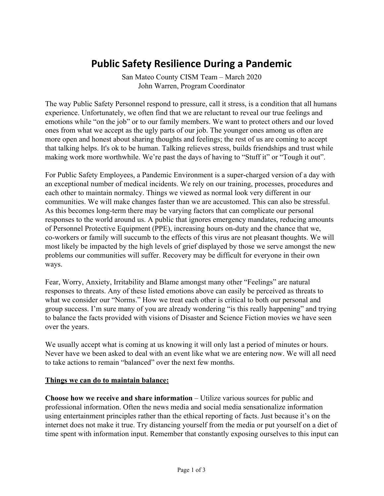# **Public Safety Resilience During a Pandemic**

San Mateo County CISM Team – March 2020 John Warren, Program Coordinator

The way Public Safety Personnel respond to pressure, call it stress, is a condition that all humans experience. Unfortunately, we often find that we are reluctant to reveal our true feelings and emotions while "on the job" or to our family members. We want to protect others and our loved ones from what we accept as the ugly parts of our job. The younger ones among us often are more open and honest about sharing thoughts and feelings; the rest of us are coming to accept that talking helps. It's ok to be human. Talking relieves stress, builds friendships and trust while making work more worthwhile. We're past the days of having to "Stuff it" or "Tough it out".

For Public Safety Employees, a Pandemic Environment is a super-charged version of a day with an exceptional number of medical incidents. We rely on our training, processes, procedures and each other to maintain normalcy. Things we viewed as normal look very different in our communities. We will make changes faster than we are accustomed. This can also be stressful. As this becomes long-term there may be varying factors that can complicate our personal responses to the world around us. A public that ignores emergency mandates, reducing amounts of Personnel Protective Equipment (PPE), increasing hours on-duty and the chance that we, co-workers or family will succumb to the effects of this virus are not pleasant thoughts. We will most likely be impacted by the high levels of grief displayed by those we serve amongst the new problems our communities will suffer. Recovery may be difficult for everyone in their own ways.

Fear, Worry, Anxiety, Irritability and Blame amongst many other "Feelings" are natural responses to threats. Any of these listed emotions above can easily be perceived as threats to what we consider our "Norms." How we treat each other is critical to both our personal and group success. I'm sure many of you are already wondering "is this really happening" and trying to balance the facts provided with visions of Disaster and Science Fiction movies we have seen over the years.

We usually accept what is coming at us knowing it will only last a period of minutes or hours. Never have we been asked to deal with an event like what we are entering now. We will all need to take actions to remain "balanced" over the next few months.

#### **Things we can do to maintain balance:**

**Choose how we receive and share information** – Utilize various sources for public and professional information. Often the news media and social media sensationalize information using entertainment principles rather than the ethical reporting of facts. Just because it's on the internet does not make it true. Try distancing yourself from the media or put yourself on a diet of time spent with information input. Remember that constantly exposing ourselves to this input can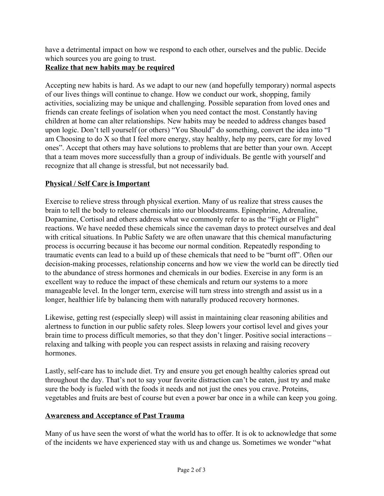have a detrimental impact on how we respond to each other, ourselves and the public. Decide which sources you are going to trust.

## **Realize that new habits may be required**

Accepting new habits is hard. As we adapt to our new (and hopefully temporary) normal aspects of our lives things will continue to change. How we conduct our work, shopping, family activities, socializing may be unique and challenging. Possible separation from loved ones and friends can create feelings of isolation when you need contact the most. Constantly having children at home can alter relationships. New habits may be needed to address changes based upon logic. Don't tell yourself (or others) "You Should" do something, convert the idea into "I am Choosing to do X so that I feel more energy, stay healthy, help my peers, care for my loved ones". Accept that others may have solutions to problems that are better than your own. Accept that a team moves more successfully than a group of individuals. Be gentle with yourself and recognize that all change is stressful, but not necessarily bad.

## **Physical / Self Care is Important**

Exercise to relieve stress through physical exertion. Many of us realize that stress causes the brain to tell the body to release chemicals into our bloodstreams. Epinephrine, Adrenaline, Dopamine, Cortisol and others address what we commonly refer to as the "Fight or Flight" reactions. We have needed these chemicals since the caveman days to protect ourselves and deal with critical situations. In Public Safety we are often unaware that this chemical manufacturing process is occurring because it has become our normal condition. Repeatedly responding to traumatic events can lead to a build up of these chemicals that need to be "burnt off". Often our decision-making processes, relationship concerns and how we view the world can be directly tied to the abundance of stress hormones and chemicals in our bodies. Exercise in any form is an excellent way to reduce the impact of these chemicals and return our systems to a more manageable level. In the longer term, exercise will turn stress into strength and assist us in a longer, healthier life by balancing them with naturally produced recovery hormones.

Likewise, getting rest (especially sleep) will assist in maintaining clear reasoning abilities and alertness to function in our public safety roles. Sleep lowers your cortisol level and gives your brain time to process difficult memories, so that they don't linger. Positive social interactions – relaxing and talking with people you can respect assists in relaxing and raising recovery hormones.

Lastly, self-care has to include diet. Try and ensure you get enough healthy calories spread out throughout the day. That's not to say your favorite distraction can't be eaten, just try and make sure the body is fueled with the foods it needs and not just the ones you crave. Proteins, vegetables and fruits are best of course but even a power bar once in a while can keep you going.

#### **Awareness and Acceptance of Past Trauma**

Many of us have seen the worst of what the world has to offer. It is ok to acknowledge that some of the incidents we have experienced stay with us and change us. Sometimes we wonder "what